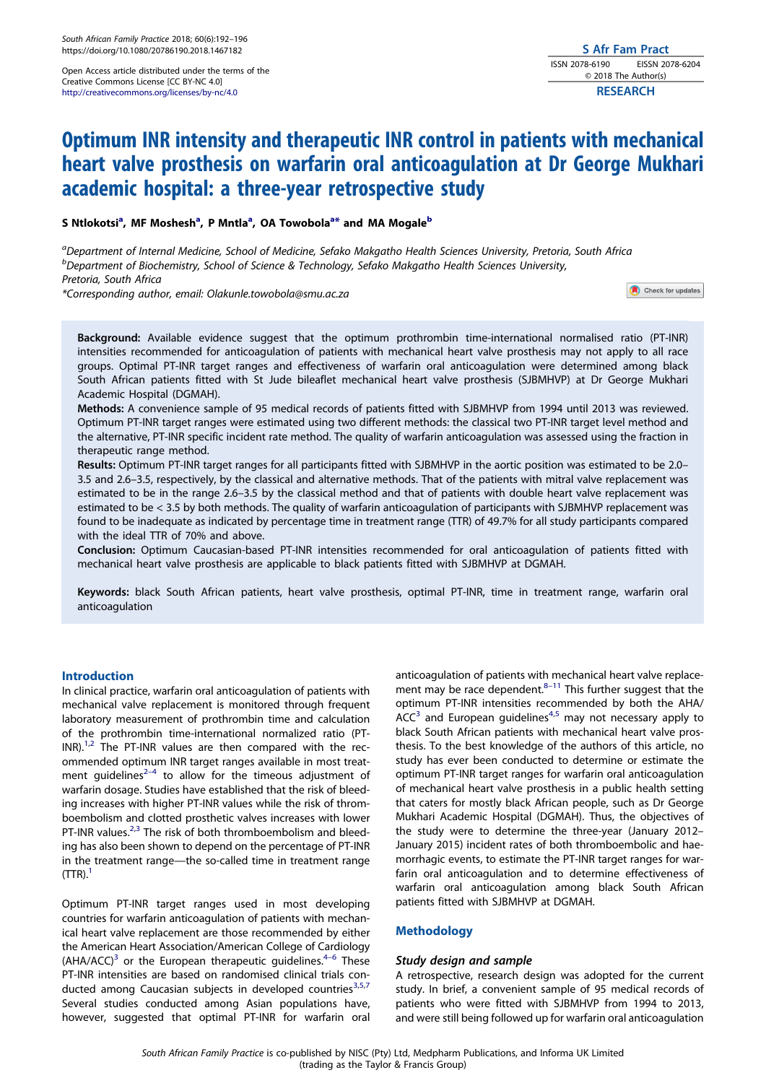<span id="page-0-0"></span>Open Access article distributed under the terms of the Creative Commons License [CC BY-NC 4.0] <http://creativecommons.org/licenses/by-nc/4.0>

# Optimum INR intensity and therapeutic INR control in patients with mechanical heart valve prosthesis on warfarin oral anticoagulation at Dr George Mukhari academic hospital: a three-year retrospective study

S Ntlokotsi<sup>a</sup>, MF Moshesh<sup>a</sup>, P Mntla<sup>a</sup>, OA Towobola<sup>a\*</sup> and MA Mogale<sup>b</sup>

<sup>a</sup>Department of Internal Medicine, School of Medicine, Sefako Makgatho Health Sciences University, Pretoria, South Africa b Department of Biochemistry, School of Science & Technology, Sefako Makgatho Health Sciences University, Pretoria, South Africa

\*Corresponding author, email: [Olakunle.towobola@smu.ac.za](mailto:Olakunle.towobola@smu.ac.za)

Check for updates

Background: Available evidence suggest that the optimum prothrombin time-international normalised ratio (PT-INR) intensities recommended for anticoagulation of patients with mechanical heart valve prosthesis may not apply to all race groups. Optimal PT-INR target ranges and effectiveness of warfarin oral anticoagulation were determined among black South African patients fitted with St Jude bileaflet mechanical heart valve prosthesis (SJBMHVP) at Dr George Mukhari Academic Hospital (DGMAH).

Methods: A convenience sample of 95 medical records of patients fitted with SJBMHVP from 1994 until 2013 was reviewed. Optimum PT-INR target ranges were estimated using two different methods: the classical two PT-INR target level method and the alternative, PT-INR specific incident rate method. The quality of warfarin anticoagulation was assessed using the fraction in therapeutic range method.

Results: Optimum PT-INR target ranges for all participants fitted with SJBMHVP in the aortic position was estimated to be 2.0– 3.5 and 2.6–3.5, respectively, by the classical and alternative methods. That of the patients with mitral valve replacement was estimated to be in the range 2.6–3.5 by the classical method and that of patients with double heart valve replacement was estimated to be < 3.5 by both methods. The quality of warfarin anticoagulation of participants with SJBMHVP replacement was found to be inadequate as indicated by percentage time in treatment range (TTR) of 49.7% for all study participants compared with the ideal TTR of 70% and above.

Conclusion: Optimum Caucasian-based PT-INR intensities recommended for oral anticoagulation of patients fitted with mechanical heart valve prosthesis are applicable to black patients fitted with SJBMHVP at DGMAH.

Keywords: black South African patients, heart valve prosthesis, optimal PT-INR, time in treatment range, warfarin oral anticoagulation

## Introduction

In clinical practice, warfarin oral anticoagulation of patients with mechanical valve replacement is monitored through frequent laboratory measurement of prothrombin time and calculation of the prothrombin time-international normalized ratio (PT- $INR$ ).<sup>[1,2](#page-4-0)</sup> The PT-INR values are then compared with the recommended optimum INR target ranges available in most treatment quidelines<sup> $2-4$ </sup> to allow for the timeous adjustment of warfarin dosage. Studies have established that the risk of bleeding increases with higher PT-INR values while the risk of thromboembolism and clotted prosthetic valves increases with lower PT-INR values. $2,3$  $2,3$  $2,3$  The risk of both thromboembolism and bleeding has also been shown to depend on the percentage of PT-INR in the treatment range—the so-called time in treatment range  $(TTR).<sup>1</sup>$  $(TTR).<sup>1</sup>$  $(TTR).<sup>1</sup>$ 

Optimum PT-INR target ranges used in most developing countries for warfarin anticoagulation of patients with mechanical heart valve replacement are those recommended by either the American Heart Association/American College of Cardiology  $(AHA/ACC)^3$  $(AHA/ACC)^3$  or the European therapeutic quidelines.<sup>4–6</sup> These PT-INR intensities are based on randomised clinical trials con-ducted among Caucasian subjects in developed countries<sup>[3,5,7](#page-4-0)</sup> Several studies conducted among Asian populations have, however, suggested that optimal PT-INR for warfarin oral

anticoagulation of patients with mechanical heart valve replacement may be race dependent. $8-11$  This further suggest that the optimum PT-INR intensities recommended by both the AHA/  $ACC<sup>3</sup>$  $ACC<sup>3</sup>$  $ACC<sup>3</sup>$  and European guidelines<sup>[4,5](#page-4-0)</sup> may not necessary apply to black South African patients with mechanical heart valve prosthesis. To the best knowledge of the authors of this article, no study has ever been conducted to determine or estimate the optimum PT-INR target ranges for warfarin oral anticoagulation of mechanical heart valve prosthesis in a public health setting that caters for mostly black African people, such as Dr George Mukhari Academic Hospital (DGMAH). Thus, the objectives of the study were to determine the three-year (January 2012– January 2015) incident rates of both thromboembolic and haemorrhagic events, to estimate the PT-INR target ranges for warfarin oral anticoagulation and to determine effectiveness of warfarin oral anticoagulation among black South African patients fitted with SJBMHVP at DGMAH.

## Methodology

## Study design and sample

A retrospective, research design was adopted for the current study. In brief, a convenient sample of 95 medical records of patients who were fitted with SJBMHVP from 1994 to 2013, and were still being followed up for warfarin oral anticoagulation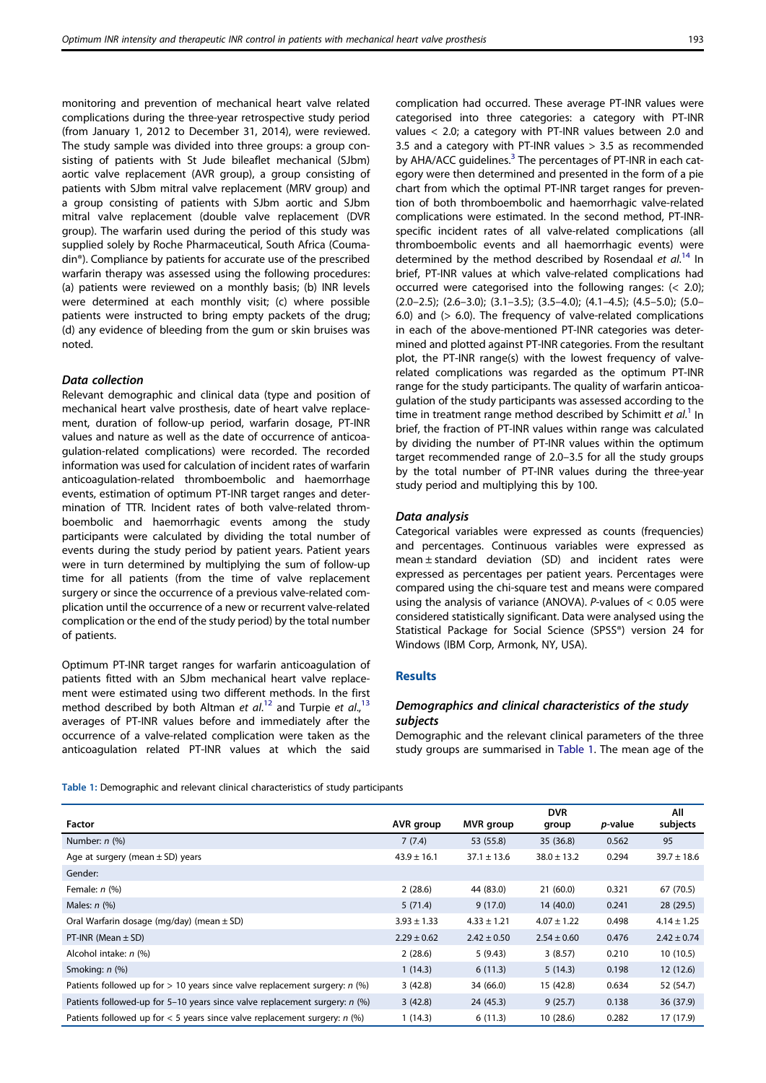<span id="page-1-0"></span>monitoring and prevention of mechanical heart valve related complications during the three-year retrospective study period (from January 1, 2012 to December 31, 2014), were reviewed. The study sample was divided into three groups: a group consisting of patients with St Jude bileaflet mechanical (SJbm) aortic valve replacement (AVR group), a group consisting of patients with SJbm mitral valve replacement (MRV group) and a group consisting of patients with SJbm aortic and SJbm mitral valve replacement (double valve replacement (DVR group). The warfarin used during the period of this study was supplied solely by Roche Pharmaceutical, South Africa (Coumadin®). Compliance by patients for accurate use of the prescribed warfarin therapy was assessed using the following procedures: (a) patients were reviewed on a monthly basis; (b) INR levels were determined at each monthly visit; (c) where possible patients were instructed to bring empty packets of the drug; (d) any evidence of bleeding from the gum or skin bruises was noted.

## Data collection

Relevant demographic and clinical data (type and position of mechanical heart valve prosthesis, date of heart valve replacement, duration of follow-up period, warfarin dosage, PT-INR values and nature as well as the date of occurrence of anticoagulation-related complications) were recorded. The recorded information was used for calculation of incident rates of warfarin anticoagulation-related thromboembolic and haemorrhage events, estimation of optimum PT-INR target ranges and determination of TTR. Incident rates of both valve-related thromboembolic and haemorrhagic events among the study participants were calculated by dividing the total number of events during the study period by patient years. Patient years were in turn determined by multiplying the sum of follow-up time for all patients (from the time of valve replacement surgery or since the occurrence of a previous valve-related complication until the occurrence of a new or recurrent valve-related complication or the end of the study period) by the total number of patients.

Optimum PT-INR target ranges for warfarin anticoagulation of patients fitted with an SJbm mechanical heart valve replacement were estimated using two different methods. In the first method described by both Altman et  $al.^{12}$  $al.^{12}$  $al.^{12}$  and Turpie et  $al.^{13}$  $al.^{13}$  $al.^{13}$ averages of PT-INR values before and immediately after the occurrence of a valve-related complication were taken as the anticoagulation related PT-INR values at which the said

complication had occurred. These average PT-INR values were categorised into three categories: a category with PT-INR values < 2.0; a category with PT-INR values between 2.0 and 3.5 and a category with PT-INR values > 3.5 as recommended by AHA/ACC guidelines.<sup>3</sup> The percentages of PT-INR in each category were then determined and presented in the form of a pie chart from which the optimal PT-INR target ranges for prevention of both thromboembolic and haemorrhagic valve-related complications were estimated. In the second method, PT-INRspecific incident rates of all valve-related complications (all thromboembolic events and all haemorrhagic events) were determined by the method described by Rosendaal et al.<sup>[14](#page-4-0)</sup> In brief, PT-INR values at which valve-related complications had occurred were categorised into the following ranges: (< 2.0); (2.0–2.5); (2.6–3.0); (3.1–3.5); (3.5–4.0); (4.1–4.5); (4.5–5.0); (5.0– 6.0) and  $(> 6.0)$ . The frequency of valve-related complications in each of the above-mentioned PT-INR categories was determined and plotted against PT-INR categories. From the resultant plot, the PT-INR range(s) with the lowest frequency of valverelated complications was regarded as the optimum PT-INR range for the study participants. The quality of warfarin anticoagulation of the study participants was assessed according to the time in treatment range method described by Schimitt et al.<sup>[1](#page-4-0)</sup> In brief, the fraction of PT-INR values within range was calculated by dividing the number of PT-INR values within the optimum target recommended range of 2.0–3.5 for all the study groups by the total number of PT-INR values during the three-year study period and multiplying this by 100.

## Data analysis

Categorical variables were expressed as counts (frequencies) and percentages. Continuous variables were expressed as mean ± standard deviation (SD) and incident rates were expressed as percentages per patient years. Percentages were compared using the chi-square test and means were compared using the analysis of variance (ANOVA). P-values of < 0.05 were considered statistically significant. Data were analysed using the Statistical Package for Social Science (SPSS®) version 24 for Windows (IBM Corp, Armonk, NY, USA).

## **Results**

## Demographics and clinical characteristics of the study subjects

Demographic and the relevant clinical parameters of the three study groups are summarised in Table 1. The mean age of the

Table 1: Demographic and relevant clinical characteristics of study participants

| Factor                                                                        | AVR group       | MVR group       | <b>DVR</b><br>group | <i>p</i> -value | All<br>subjects |
|-------------------------------------------------------------------------------|-----------------|-----------------|---------------------|-----------------|-----------------|
| Number: $n$ (%)                                                               | 7(7.4)          | 53 (55.8)       | 35(36.8)            | 0.562           | 95              |
| Age at surgery (mean $\pm$ SD) years                                          | $43.9 \pm 16.1$ | $37.1 \pm 13.6$ | $38.0 \pm 13.2$     | 0.294           | $39.7 \pm 18.6$ |
| Gender:                                                                       |                 |                 |                     |                 |                 |
| Female: $n$ $%$                                                               | 2(28.6)         | 44 (83.0)       | 21(60.0)            | 0.321           | 67 (70.5)       |
| Males: $n$ $%$                                                                | 5(71.4)         | 9(17.0)         | 14(40.0)            | 0.241           | 28(29.5)        |
| Oral Warfarin dosage (mg/day) (mean $\pm$ SD)                                 | $3.93 \pm 1.33$ | $4.33 \pm 1.21$ | $4.07 \pm 1.22$     | 0.498           | $4.14 \pm 1.25$ |
| PT-INR (Mean $\pm$ SD)                                                        | $2.29 \pm 0.62$ | $2.42 \pm 0.50$ | $2.54 \pm 0.60$     | 0.476           | $2.42 \pm 0.74$ |
| Alcohol intake: n (%)                                                         | 2(28.6)         | 5(9.43)         | 3(8.57)             | 0.210           | 10(10.5)        |
| Smoking: n (%)                                                                | 1(14.3)         | 6(11.3)         | 5(14.3)             | 0.198           | 12(12.6)        |
| Patients followed up for $> 10$ years since valve replacement surgery: n (%)  | 3(42.8)         | 34 (66.0)       | 15 (42.8)           | 0.634           | 52 (54.7)       |
| Patients followed-up for 5-10 years since valve replacement surgery: n (%)    | 3(42.8)         | 24 (45.3)       | 9(25.7)             | 0.138           | 36 (37.9)       |
| Patients followed up for $<$ 5 years since valve replacement surgery: $n$ (%) | 1(14.3)         | 6(11.3)         | 10(28.6)            | 0.282           | 17 (17.9)       |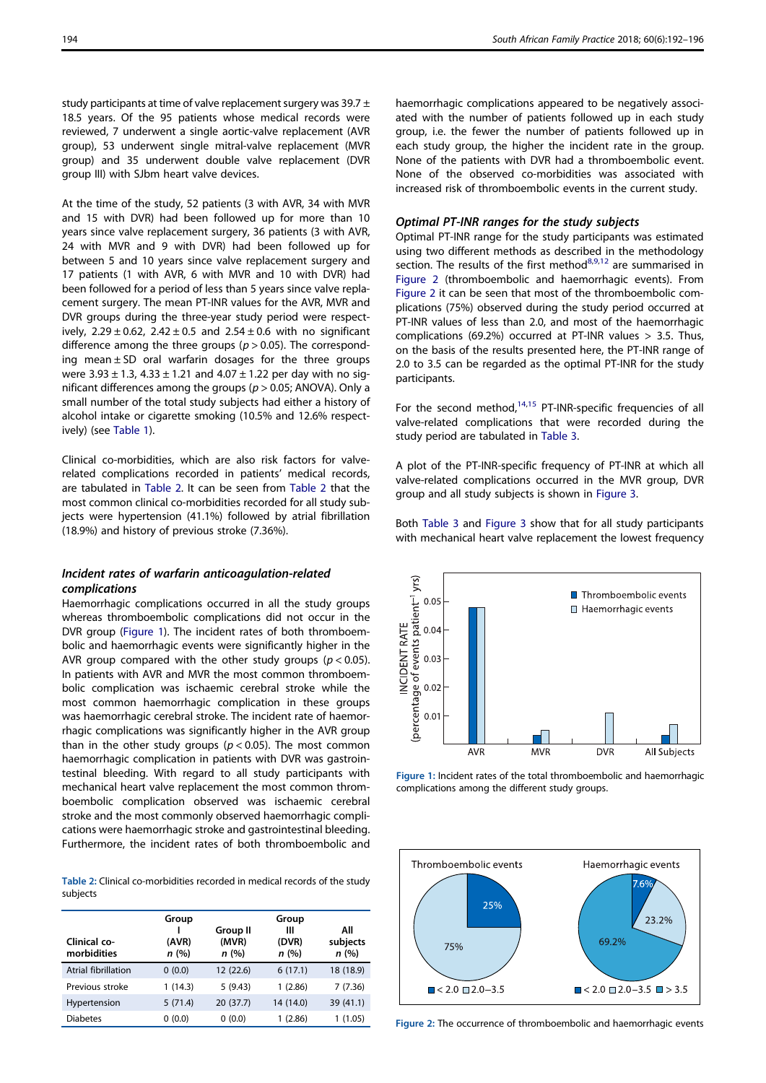<span id="page-2-0"></span>study participants at time of valve replacement surgery was  $39.7 \pm$ 18.5 years. Of the 95 patients whose medical records were reviewed, 7 underwent a single aortic-valve replacement (AVR group), 53 underwent single mitral-valve replacement (MVR group) and 35 underwent double valve replacement (DVR group III) with SJbm heart valve devices.

At the time of the study, 52 patients (3 with AVR, 34 with MVR and 15 with DVR) had been followed up for more than 10 years since valve replacement surgery, 36 patients (3 with AVR, 24 with MVR and 9 with DVR) had been followed up for between 5 and 10 years since valve replacement surgery and 17 patients (1 with AVR, 6 with MVR and 10 with DVR) had been followed for a period of less than 5 years since valve replacement surgery. The mean PT-INR values for the AVR, MVR and DVR groups during the three-year study period were respectively,  $2.29 \pm 0.62$ ,  $2.42 \pm 0.5$  and  $2.54 \pm 0.6$  with no significant difference among the three groups ( $p > 0.05$ ). The corresponding mean  $\pm$  SD oral warfarin dosages for the three groups were  $3.93 \pm 1.3$ ,  $4.33 \pm 1.21$  and  $4.07 \pm 1.22$  per day with no significant differences among the groups ( $p > 0.05$ ; ANOVA). Only a small number of the total study subjects had either a history of alcohol intake or cigarette smoking (10.5% and 12.6% respectively) (see [Table 1\)](#page-1-0).

Clinical co-morbidities, which are also risk factors for valverelated complications recorded in patients' medical records, are tabulated in Table 2. It can be seen from Table 2 that the most common clinical co-morbidities recorded for all study subjects were hypertension (41.1%) followed by atrial fibrillation (18.9%) and history of previous stroke (7.36%).

## Incident rates of warfarin anticoagulation-related complications

Haemorrhagic complications occurred in all the study groups whereas thromboembolic complications did not occur in the DVR group (Figure 1). The incident rates of both thromboembolic and haemorrhagic events were significantly higher in the AVR group compared with the other study groups ( $p < 0.05$ ). In patients with AVR and MVR the most common thromboembolic complication was ischaemic cerebral stroke while the most common haemorrhagic complication in these groups was haemorrhagic cerebral stroke. The incident rate of haemorrhagic complications was significantly higher in the AVR group than in the other study groups ( $p < 0.05$ ). The most common haemorrhagic complication in patients with DVR was gastrointestinal bleeding. With regard to all study participants with mechanical heart valve replacement the most common thromboembolic complication observed was ischaemic cerebral stroke and the most commonly observed haemorrhagic complications were haemorrhagic stroke and gastrointestinal bleeding. Furthermore, the incident rates of both thromboembolic and

Table 2: Clinical co-morbidities recorded in medical records of the study subjects

| Clinical co-<br>morbidities | Group<br>(AVR)<br>n(%) | Group II<br>(MVR)<br>n(%) | Group<br>Ш<br>(DVR)<br>n(%) | All<br>subjects<br>n(%) |
|-----------------------------|------------------------|---------------------------|-----------------------------|-------------------------|
| Atrial fibrillation         | 0(0.0)                 | 12 (22.6)                 | 6(17.1)                     | 18 (18.9)               |
| Previous stroke             | 1(14.3)                | 5(9.43)                   | 1(2.86)                     | 7(7.36)                 |
| Hypertension                | 5(71.4)                | 20(37.7)                  | 14 (14.0)                   | 39 (41.1)               |
| <b>Diabetes</b>             | 0(0.0)                 | 0(0.0)                    | 1(2.86)                     | 1 (1.05)                |

haemorrhagic complications appeared to be negatively associated with the number of patients followed up in each study group, i.e. the fewer the number of patients followed up in each study group, the higher the incident rate in the group. None of the patients with DVR had a thromboembolic event. None of the observed co-morbidities was associated with increased risk of thromboembolic events in the current study.

## Optimal PT-INR ranges for the study subjects

Optimal PT-INR range for the study participants was estimated using two different methods as described in the methodology section. The results of the first method<sup>[8](#page-4-0),[9,12](#page-4-0)</sup> are summarised in Figure 2 (thromboembolic and haemorrhagic events). From Figure 2 it can be seen that most of the thromboembolic complications (75%) observed during the study period occurred at PT-INR values of less than 2.0, and most of the haemorrhagic complications (69.2%) occurred at PT-INR values > 3.5. Thus, on the basis of the results presented here, the PT-INR range of 2.0 to 3.5 can be regarded as the optimal PT-INR for the study participants.

For the second method, $14,15$  PT-INR-specific frequencies of all valve-related complications that were recorded during the study period are tabulated in [Table 3](#page-3-0).

A plot of the PT-INR-specific frequency of PT-INR at which all valve-related complications occurred in the MVR group, DVR group and all study subjects is shown in [Figure 3](#page-3-0).

Both [Table 3](#page-3-0) and [Figure 3](#page-3-0) show that for all study participants with mechanical heart valve replacement the lowest frequency



Figure 1: Incident rates of the total thromboembolic and haemorrhagic complications among the different study groups.



Figure 2: The occurrence of thromboembolic and haemorrhagic events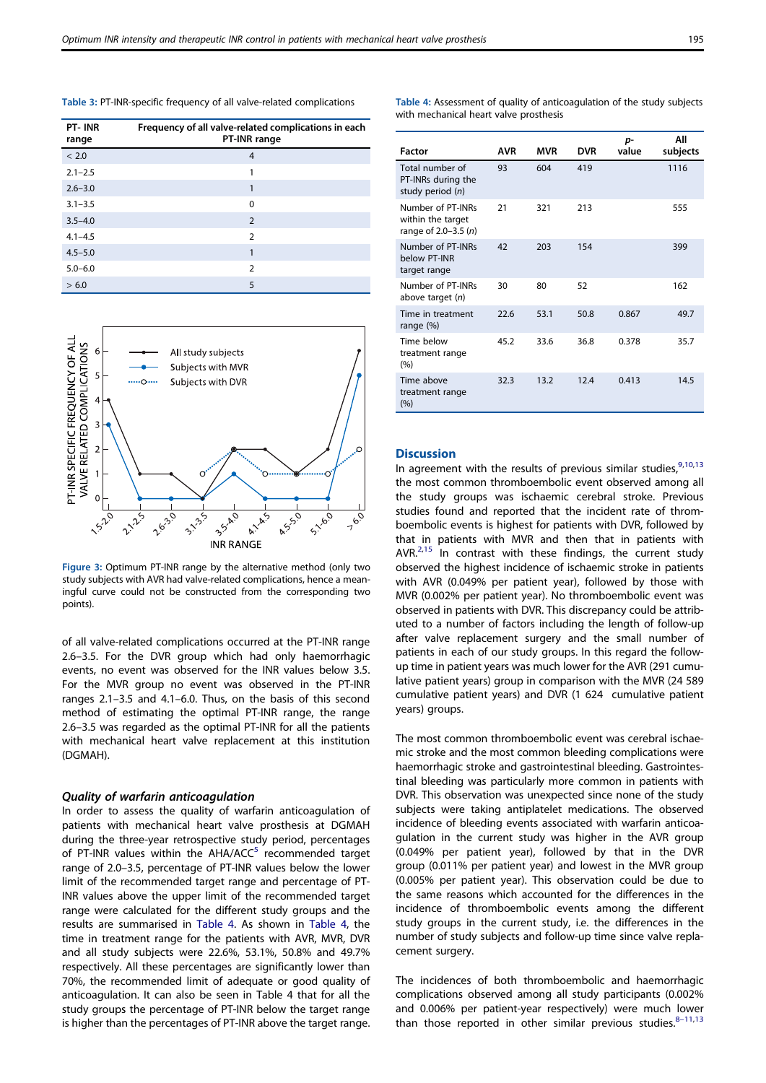<span id="page-3-0"></span>Table 3: PT-INR-specific frequency of all valve-related complications

| <b>PT-INR</b><br>range | Frequency of all valve-related complications in each<br>PT-INR range |
|------------------------|----------------------------------------------------------------------|
| < 2.0                  | 4                                                                    |
| $2.1 - 2.5$            | 1                                                                    |
| $2.6 - 3.0$            | 1                                                                    |
| $3.1 - 3.5$            | $\mathbf{0}$                                                         |
| $3.5 - 4.0$            | $\overline{2}$                                                       |
| $4.1 - 4.5$            | $\overline{2}$                                                       |
| $4.5 - 5.0$            | 1                                                                    |
| $5.0 - 6.0$            | $\overline{2}$                                                       |
| > 6.0                  | 5                                                                    |



Figure 3: Optimum PT-INR range by the alternative method (only two study subjects with AVR had valve-related complications, hence a meaningful curve could not be constructed from the corresponding two points).

of all valve-related complications occurred at the PT-INR range 2.6–3.5. For the DVR group which had only haemorrhagic events, no event was observed for the INR values below 3.5. For the MVR group no event was observed in the PT-INR ranges 2.1–3.5 and 4.1–6.0. Thus, on the basis of this second method of estimating the optimal PT-INR range, the range 2.6–3.5 was regarded as the optimal PT-INR for all the patients with mechanical heart valve replacement at this institution (DGMAH).

## Quality of warfarin anticoagulation

In order to assess the quality of warfarin anticoagulation of patients with mechanical heart valve prosthesis at DGMAH during the three-year retrospective study period, percentages of PT-INR values within the  $AHA/ACC<sup>5</sup>$  $AHA/ACC<sup>5</sup>$  $AHA/ACC<sup>5</sup>$  recommended target range of 2.0–3.5, percentage of PT-INR values below the lower limit of the recommended target range and percentage of PT-INR values above the upper limit of the recommended target range were calculated for the different study groups and the results are summarised in Table 4. As shown in Table 4, the time in treatment range for the patients with AVR, MVR, DVR and all study subjects were 22.6%, 53.1%, 50.8% and 49.7% respectively. All these percentages are significantly lower than 70%, the recommended limit of adequate or good quality of anticoagulation. It can also be seen in Table 4 that for all the study groups the percentage of PT-INR below the target range is higher than the percentages of PT-INR above the target range. Table 4: Assessment of quality of anticoagulation of the study subjects with mechanical heart valve prosthesis

| Factor                                                                      | <b>AVR</b> | <b>MVR</b> | <b>DVR</b> | p-<br>value | All<br>subjects |
|-----------------------------------------------------------------------------|------------|------------|------------|-------------|-----------------|
| Total number of<br>PT-INRs during the<br>study period (n)                   | 93         | 604        | 419        |             | 1116            |
| Number of PT-INRs<br>within the target<br>range of $2.0 - 3.5$ ( <i>n</i> ) | 21         | 321        | 213        |             | 555             |
| Number of PT-INRs<br>below PT-INR<br>target range                           | 42         | 203        | 154        |             | 399             |
| Number of PT-INRs<br>above target (n)                                       | 30         | 80         | 52         |             | 162             |
| Time in treatment<br>range $(\%)$                                           | 22.6       | 53.1       | 50.8       | 0.867       | 49.7            |
| Time below<br>treatment range<br>(%)                                        | 45.2       | 33.6       | 36.8       | 0.378       | 35.7            |
| Time above<br>treatment range<br>(% )                                       | 32.3       | 13.2       | 12.4       | 0.413       | 14.5            |

#### **Discussion**

In agreement with the results of previous similar studies,  $9,10,13$ the most common thromboembolic event observed among all the study groups was ischaemic cerebral stroke. Previous studies found and reported that the incident rate of thromboembolic events is highest for patients with DVR, followed by that in patients with MVR and then that in patients with AVR. $2,15$  In contrast with these findings, the current study observed the highest incidence of ischaemic stroke in patients with AVR (0.049% per patient year), followed by those with MVR (0.002% per patient year). No thromboembolic event was observed in patients with DVR. This discrepancy could be attributed to a number of factors including the length of follow-up after valve replacement surgery and the small number of patients in each of our study groups. In this regard the followup time in patient years was much lower for the AVR (291 cumulative patient years) group in comparison with the MVR (24 589 cumulative patient years) and DVR (1 624 cumulative patient years) groups.

The most common thromboembolic event was cerebral ischaemic stroke and the most common bleeding complications were haemorrhagic stroke and gastrointestinal bleeding. Gastrointestinal bleeding was particularly more common in patients with DVR. This observation was unexpected since none of the study subjects were taking antiplatelet medications. The observed incidence of bleeding events associated with warfarin anticoagulation in the current study was higher in the AVR group (0.049% per patient year), followed by that in the DVR group (0.011% per patient year) and lowest in the MVR group (0.005% per patient year). This observation could be due to the same reasons which accounted for the differences in the incidence of thromboembolic events among the different study groups in the current study, i.e. the differences in the number of study subjects and follow-up time since valve replacement surgery.

The incidences of both thromboembolic and haemorrhagic complications observed among all study participants (0.002% and 0.006% per patient-year respectively) were much lower than those reported in other similar previous studies. $8-11,13$  $8-11,13$